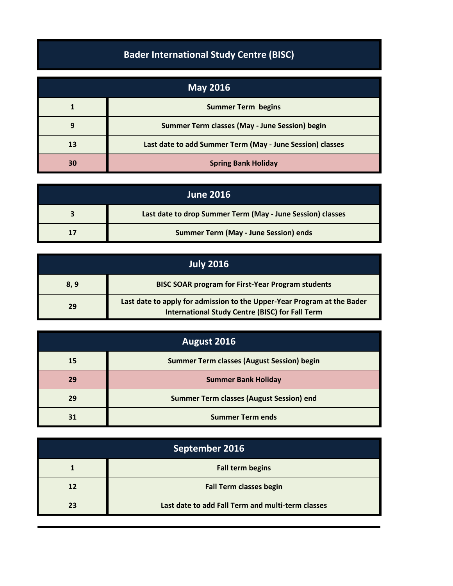## **Bader International Study Centre (BISC)**

| <b>May 2016</b> |                                                           |
|-----------------|-----------------------------------------------------------|
|                 | <b>Summer Term begins</b>                                 |
| 9               | Summer Term classes (May - June Session) begin            |
| 13              | Last date to add Summer Term (May - June Session) classes |
| 30              | <b>Spring Bank Holiday</b>                                |

| <b>June 2016</b> |                                                            |
|------------------|------------------------------------------------------------|
|                  | Last date to drop Summer Term (May - June Session) classes |
|                  | <b>Summer Term (May - June Session) ends</b>               |

| <b>July 2016</b> |                                                                                                                                   |
|------------------|-----------------------------------------------------------------------------------------------------------------------------------|
| 8,9              | <b>BISC SOAR program for First-Year Program students</b>                                                                          |
| 29               | Last date to apply for admission to the Upper-Year Program at the Bader<br><b>International Study Centre (BISC) for Fall Term</b> |

| August 2016 |                                                   |
|-------------|---------------------------------------------------|
| 15          | <b>Summer Term classes (August Session) begin</b> |
| 29          | <b>Summer Bank Holiday</b>                        |
| 29          | <b>Summer Term classes (August Session) end</b>   |
|             | <b>Summer Term ends</b>                           |

| September 2016 |                                                   |
|----------------|---------------------------------------------------|
|                | <b>Fall term begins</b>                           |
| 12             | <b>Fall Term classes begin</b>                    |
| 23             | Last date to add Fall Term and multi-term classes |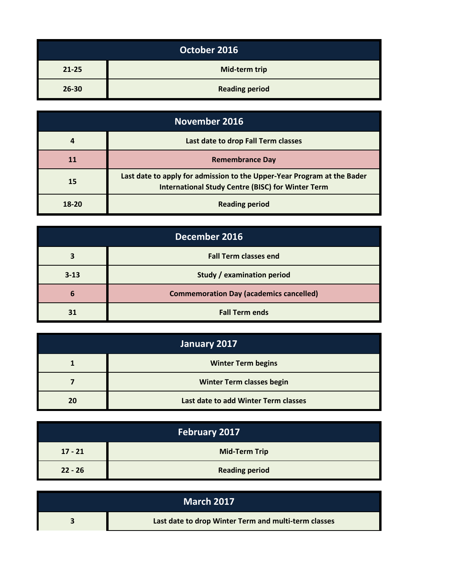| October 2016 |                       |
|--------------|-----------------------|
| $21 - 25$    | Mid-term trip         |
| $26 - 30$    | <b>Reading period</b> |

| November 2016 |                                                                                                                                     |
|---------------|-------------------------------------------------------------------------------------------------------------------------------------|
|               | Last date to drop Fall Term classes                                                                                                 |
| 11            | <b>Remembrance Day</b>                                                                                                              |
| 15            | Last date to apply for admission to the Upper-Year Program at the Bader<br><b>International Study Centre (BISC) for Winter Term</b> |
| 18-20         | <b>Reading period</b>                                                                                                               |

| December 2016 |                                                |
|---------------|------------------------------------------------|
|               | <b>Fall Term classes end</b>                   |
| $3 - 13$      | Study / examination period                     |
| 6             | <b>Commemoration Day (academics cancelled)</b> |
|               | <b>Fall Term ends</b>                          |

| January 2017 |                                      |
|--------------|--------------------------------------|
|              | <b>Winter Term begins</b>            |
|              | <b>Winter Term classes begin</b>     |
| 20           | Last date to add Winter Term classes |

| <b>February 2017</b> |                       |
|----------------------|-----------------------|
| $17 - 21$            | <b>Mid-Term Trip</b>  |
| $22 - 26$            | <b>Reading period</b> |

| <b>March 2017</b> |                                                      |
|-------------------|------------------------------------------------------|
|                   | Last date to drop Winter Term and multi-term classes |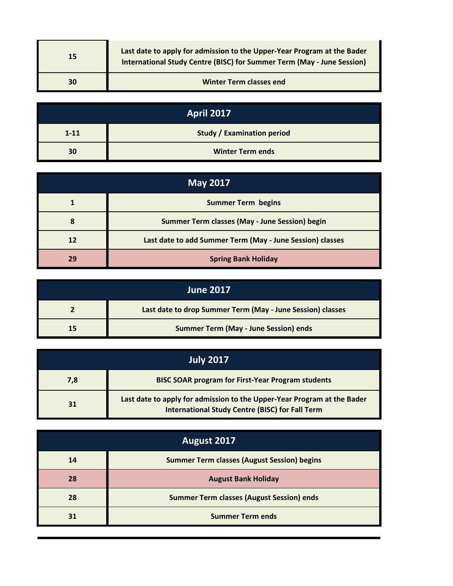| 15 | Last date to apply for admission to the Upper-Year Program at the Bader<br>International Study Centre (BISC) for Summer Term (May - June Session) |
|----|---------------------------------------------------------------------------------------------------------------------------------------------------|
| 30 | <b>Winter Term classes end</b>                                                                                                                    |

| <b>April 2017</b> |                                   |  |
|-------------------|-----------------------------------|--|
| $1 - 11$          | <b>Study / Examination period</b> |  |
| 30                | <b>Winter Term ends</b>           |  |

| <b>May 2017</b> |                                                           |  |
|-----------------|-----------------------------------------------------------|--|
|                 | <b>Summer Term begins</b>                                 |  |
| 8               | Summer Term classes (May - June Session) begin            |  |
| 12              | Last date to add Summer Term (May - June Session) classes |  |
| 29              | <b>Spring Bank Holiday</b>                                |  |

| <b>June 2017</b> |                                                            |  |
|------------------|------------------------------------------------------------|--|
|                  | Last date to drop Summer Term (May - June Session) classes |  |
| 15               | <b>Summer Term (May - June Session) ends</b>               |  |

| <b>July 2017</b> |                                                                                                                                   |  |
|------------------|-----------------------------------------------------------------------------------------------------------------------------------|--|
| 7,8              | <b>BISC SOAR program for First-Year Program students</b>                                                                          |  |
| 31               | Last date to apply for admission to the Upper-Year Program at the Bader<br><b>International Study Centre (BISC) for Fall Term</b> |  |

| August 2017 |                                                    |  |
|-------------|----------------------------------------------------|--|
| 14          | <b>Summer Term classes (August Session) begins</b> |  |
| 28          | <b>August Bank Holiday</b>                         |  |
| 28          | <b>Summer Term classes (August Session) ends</b>   |  |
| 31          | <b>Summer Term ends</b>                            |  |